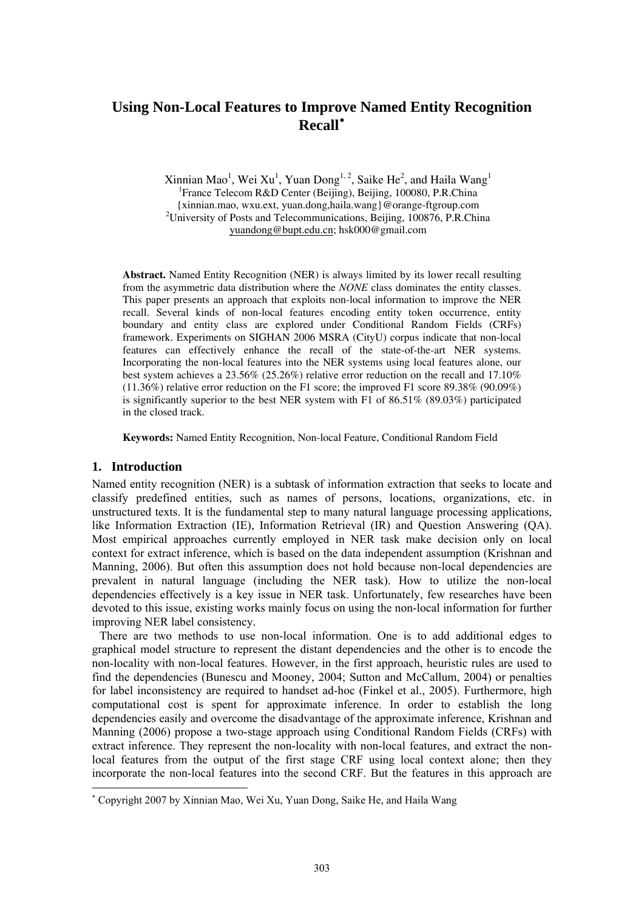# **Using Non-Local Features to Improve Named Entity Recognition Recall**[∗](#page-0-0)

 $\frac{1}{2}$  Xinnian Mao<sup>1</sup>, Wei Xu<sup>1</sup>, Yuan Dong<sup>1, 2</sup>, Saike He<sup>2</sup>, and Haila Wang<sup>1</sup> <sup>1</sup> France Telecom R&D Center (Beijing), Beijing, 100080, P.R.China {xinnian.mao, wxu.ext, yuan.dong,haila.wang}@orange-ftgroup.com 2 <sup>2</sup>University of Posts and Telecommunications, Beijing, 100876, P.R.China [yuandong@bupt.edu.cn](mailto:yuandong@bupt.edu.cn); [hsk000@gmail.com](mailto:hsk000@gmail.com)

**Abstract.** Named Entity Recognition (NER) is always limited by its lower recall resulting from the asymmetric data distribution where the *NONE* class dominates the entity classes. This paper presents an approach that exploits non-local information to improve the NER recall. Several kinds of non-local features encoding entity token occurrence, entity boundary and entity class are explored under Conditional Random Fields (CRFs) framework. Experiments on SIGHAN 2006 MSRA (CityU) corpus indicate that non-local features can effectively enhance the recall of the state-of-the-art NER systems. Incorporating the non-local features into the NER systems using local features alone, our best system achieves a 23.56% (25.26%) relative error reduction on the recall and 17.10%  $(11.36\%)$  relative error reduction on the F1 score; the improved F1 score 89.38% (90.09%) is significantly superior to the best NER system with F1 of 86.51% (89.03%) participated in the closed track.

**Keywords:** Named Entity Recognition, Non-local Feature, Conditional Random Field

#### **1. Introduction**

-

Named entity recognition (NER) is a subtask of information extraction that seeks to locate and classify predefined entities, such as names of persons, locations, organizations, etc. in unstructured texts. It is the fundamental step to many natural language processing applications, like Information Extraction (IE), Information Retrieval (IR) and Question Answering (QA). Most empirical approaches currently employed in NER task make decision only on local context for extract inference, which is based on the data independent assumption (Krishnan and Manning, 2006). But often this assumption does not hold because non-local dependencies are prevalent in natural language (including the NER task). How to utilize the non-local dependencies effectively is a key issue in NER task. Unfortunately, few researches have been devoted to this issue, existing works mainly focus on using the non-local information for further improving NER label consistency.

There are two methods to use non-local information. One is to add additional edges to graphical model structure to represent the distant dependencies and the other is to encode the non-locality with non-local features. However, in the first approach, heuristic rules are used to find the dependencies (Bunescu and Mooney, 2004; Sutton and McCallum, 2004) or penalties for label inconsistency are required to handset ad-hoc (Finkel et al., 2005). Furthermore, high computational cost is spent for approximate inference. In order to establish the long dependencies easily and overcome the disadvantage of the approximate inference, Krishnan and Manning (2006) propose a two-stage approach using Conditional Random Fields (CRFs) with extract inference. They represent the non-locality with non-local features, and extract the nonlocal features from the output of the first stage CRF using local context alone; then they incorporate the non-local features into the second CRF. But the features in this approach are

<span id="page-0-0"></span><sup>∗</sup> Copyright 2007 by Xinnian Mao, Wei Xu, Yuan Dong, Saike He, and Haila Wang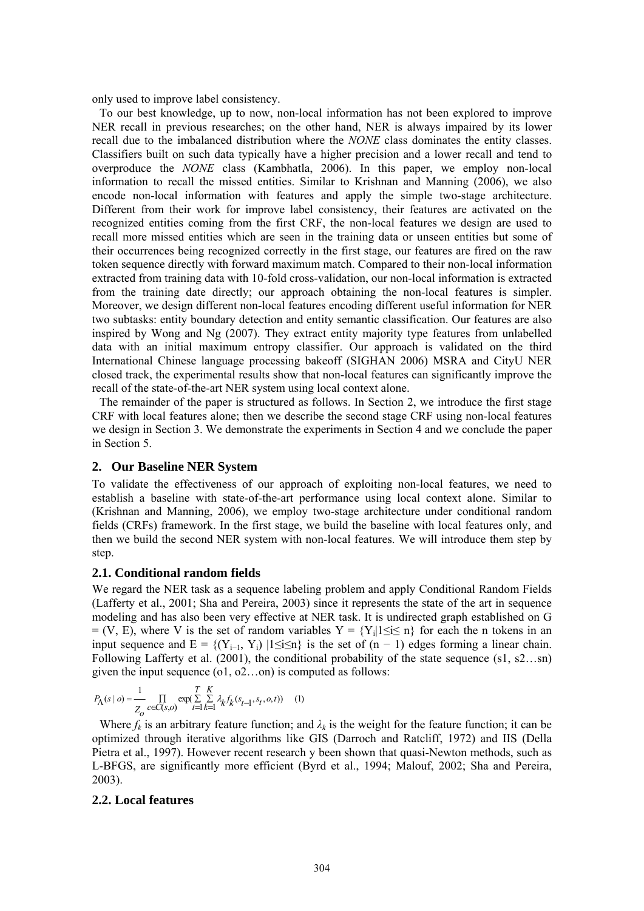only used to improve label consistency.

To our best knowledge, up to now, non-local information has not been explored to improve NER recall in previous researches; on the other hand, NER is always impaired by its lower recall due to the imbalanced distribution where the *NONE* class dominates the entity classes. Classifiers built on such data typically have a higher precision and a lower recall and tend to overproduce the *NONE* class (Kambhatla, 2006). In this paper, we employ non-local information to recall the missed entities. Similar to Krishnan and Manning (2006), we also encode non-local information with features and apply the simple two-stage architecture. Different from their work for improve label consistency, their features are activated on the recognized entities coming from the first CRF, the non-local features we design are used to recall more missed entities which are seen in the training data or unseen entities but some of their occurrences being recognized correctly in the first stage, our features are fired on the raw token sequence directly with forward maximum match. Compared to their non-local information extracted from training data with 10-fold cross-validation, our non-local information is extracted from the training date directly; our approach obtaining the non-local features is simpler. Moreover, we design different non-local features encoding different useful information for NER two subtasks: entity boundary detection and entity semantic classification. Our features are also inspired by Wong and Ng (2007). They extract entity majority type features from unlabelled data with an initial maximum entropy classifier. Our approach is validated on the third International Chinese language processing bakeoff (SIGHAN 2006) MSRA and CityU NER closed track, the experimental results show that non-local features can significantly improve the recall of the state-of-the-art NER system using local context alone.

The remainder of the paper is structured as follows. In Section 2, we introduce the first stage CRF with local features alone; then we describe the second stage CRF using non-local features we design in Section 3. We demonstrate the experiments in Section 4 and we conclude the paper in Section 5.

#### **2. Our Baseline NER System**

To validate the effectiveness of our approach of exploiting non-local features, we need to establish a baseline with state-of-the-art performance using local context alone. Similar to (Krishnan and Manning, 2006), we employ two-stage architecture under conditional random fields (CRFs) framework. In the first stage, we build the baseline with local features only, and then we build the second NER system with non-local features. We will introduce them step by step.

#### **2.1. Conditional random fields**

We regard the NER task as a sequence labeling problem and apply Conditional Random Fields (Lafferty et al., 2001; Sha and Pereira, 2003) since it represents the state of the art in sequence modeling and has also been very effective at NER task. It is undirected graph established on G  $= (V, E)$ , where V is the set of random variables  $Y = \{Y_i | 1 \le i \le n\}$  for each the n tokens in an input sequence and  $E = \{(Y_{i-1}, Y_i) | 1 \le i \le n\}$  is the set of  $(n - 1)$  edges forming a linear chain. Following Lafferty et al. (2001), the conditional probability of the state sequence (s1, s2…sn) given the input sequence (o1, o2…on) is computed as follows:

$$
P_{\Lambda}(s \mid o) = \frac{1}{Z_{o}} \prod_{c \in C(s,o)} \exp(\sum_{t=1}^{T} \sum_{k=1}^{K} \lambda_{k} f_{k}(s_{t-1}, s_{t}, o, t)) \tag{1}
$$

Where  $f_k$  is an arbitrary feature function; and  $\lambda_k$  is the weight for the feature function; it can be optimized through iterative algorithms like GIS (Darroch and Ratcliff, 1972) and IIS (Della Pietra et al., 1997). However recent research y been shown that quasi-Newton methods, such as L-BFGS, are significantly more efficient (Byrd et al., 1994; Malouf, 2002; Sha and Pereira, 2003).

#### **2.2. Local features**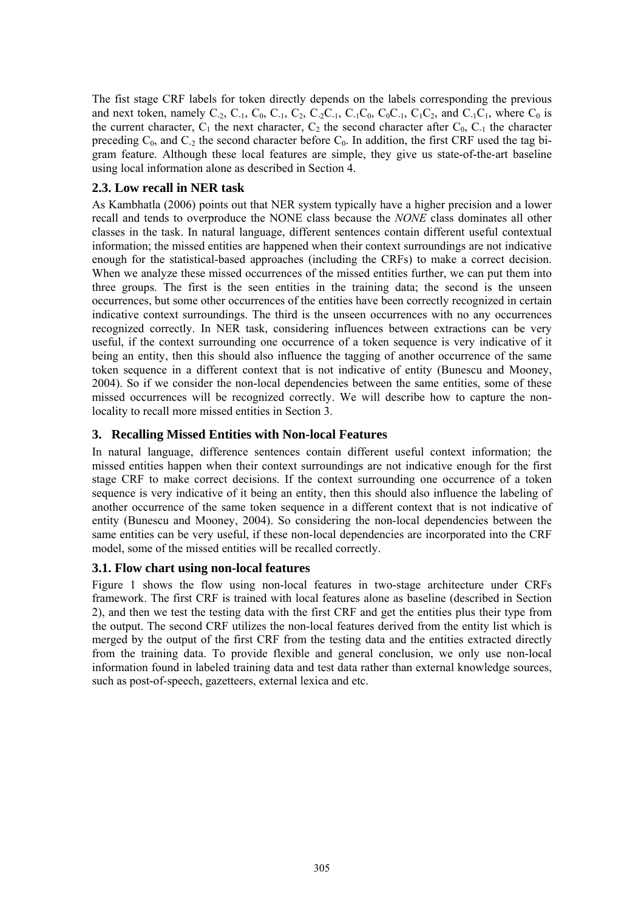The fist stage CRF labels for token directly depends on the labels corresponding the previous and next token, namely  $C_{-2}$ ,  $C_{-1}$ ,  $C_0$ ,  $C_{-1}$ ,  $C_2$ ,  $C_{-2}C_{-1}$ ,  $C_{-1}C_0$ ,  $C_0C_{-1}$ ,  $C_1C_2$ , and  $C_{-1}C_1$ , where  $C_0$  is the current character,  $C_1$  the next character,  $C_2$  the second character after  $C_0$ ,  $C_1$  the character preceding  $C_0$ , and  $C_2$  the second character before  $C_0$ . In addition, the first CRF used the tag bigram feature. Although these local features are simple, they give us state-of-the-art baseline using local information alone as described in Section 4.

## **2.3. Low recall in NER task**

As Kambhatla (2006) points out that NER system typically have a higher precision and a lower recall and tends to overproduce the NONE class because the *NONE* class dominates all other classes in the task. In natural language, different sentences contain different useful contextual information; the missed entities are happened when their context surroundings are not indicative enough for the statistical-based approaches (including the CRFs) to make a correct decision. When we analyze these missed occurrences of the missed entities further, we can put them into three groups. The first is the seen entities in the training data; the second is the unseen occurrences, but some other occurrences of the entities have been correctly recognized in certain indicative context surroundings. The third is the unseen occurrences with no any occurrences recognized correctly. In NER task, considering influences between extractions can be very useful, if the context surrounding one occurrence of a token sequence is very indicative of it being an entity, then this should also influence the tagging of another occurrence of the same token sequence in a different context that is not indicative of entity (Bunescu and Mooney, 2004). So if we consider the non-local dependencies between the same entities, some of these missed occurrences will be recognized correctly. We will describe how to capture the nonlocality to recall more missed entities in Section 3.

# **3. Recalling Missed Entities with Non-local Features**

In natural language, difference sentences contain different useful context information; the missed entities happen when their context surroundings are not indicative enough for the first stage CRF to make correct decisions. If the context surrounding one occurrence of a token sequence is very indicative of it being an entity, then this should also influence the labeling of another occurrence of the same token sequence in a different context that is not indicative of entity (Bunescu and Mooney, 2004). So considering the non-local dependencies between the same entities can be very useful, if these non-local dependencies are incorporated into the CRF model, some of the missed entities will be recalled correctly.

## **3.1. Flow chart using non-local features**

Figure 1 shows the flow using non-local features in two-stage architecture under CRFs framework. The first CRF is trained with local features alone as baseline (described in Section 2), and then we test the testing data with the first CRF and get the entities plus their type from the output. The second CRF utilizes the non-local features derived from the entity list which is merged by the output of the first CRF from the testing data and the entities extracted directly from the training data. To provide flexible and general conclusion, we only use non-local information found in labeled training data and test data rather than external knowledge sources, such as post-of-speech, gazetteers, external lexica and etc.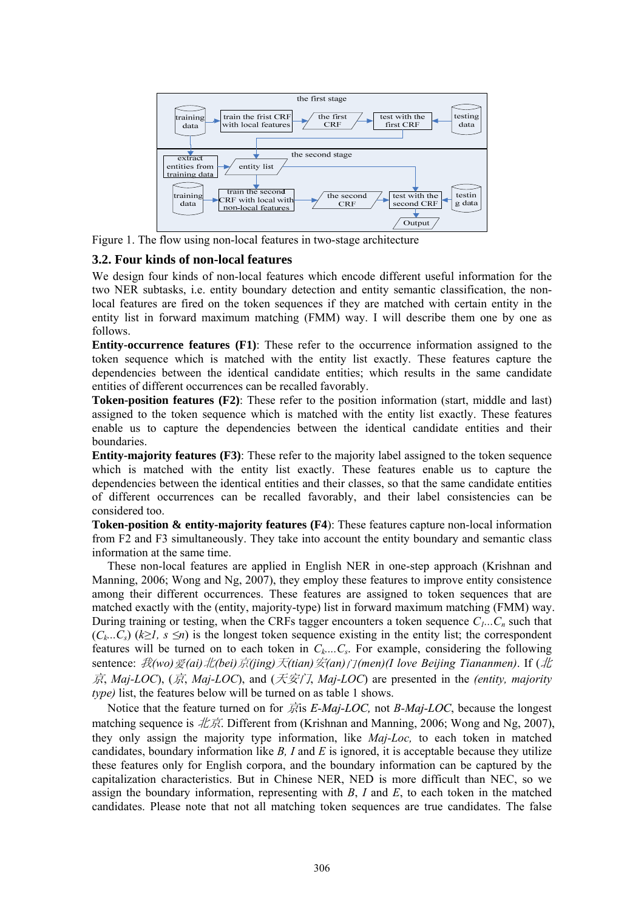

Figure 1. The flow using non-local features in two-stage architecture

#### **3.2. Four kinds of non-local features**

We design four kinds of non-local features which encode different useful information for the two NER subtasks, i.e. entity boundary detection and entity semantic classification, the nonlocal features are fired on the token sequences if they are matched with certain entity in the entity list in forward maximum matching (FMM) way. I will describe them one by one as follows.

**Entity-occurrence features (F1)**: These refer to the occurrence information assigned to the token sequence which is matched with the entity list exactly. These features capture the dependencies between the identical candidate entities; which results in the same candidate entities of different occurrences can be recalled favorably.

**Token-position features (F2)**: These refer to the position information (start, middle and last) assigned to the token sequence which is matched with the entity list exactly. These features enable us to capture the dependencies between the identical candidate entities and their boundaries.

**Entity-majority features (F3)**: These refer to the majority label assigned to the token sequence which is matched with the entity list exactly. These features enable us to capture the dependencies between the identical entities and their classes, so that the same candidate entities of different occurrences can be recalled favorably, and their label consistencies can be considered too.

**Token-position & entity-majority features (F4):** These features capture non-local information from F2 and F3 simultaneously. They take into account the entity boundary and semantic class information at the same time.

These non-local features are applied in English NER in one-step approach (Krishnan and Manning, 2006; Wong and Ng, 2007), they employ these features to improve entity consistence among their different occurrences. These features are assigned to token sequences that are matched exactly with the (entity, majority-type) list in forward maximum matching (FMM) way. During training or testing, when the CRFs tagger encounters a token sequence  $C_1...C_n$  such that  $(C_k...C_s)$  ( $k \geq 1$ ,  $s \leq n$ ) is the longest token sequence existing in the entity list; the correspondent features will be turned on to each token in  $C_k$ .... $C_s$ . For example, considering the following sentence: 我*(wo)*爱*(ai)*北*(bei)*京*(jing)*天*(tian)*安*(an)*门*(men)(I love Beijing Tiananmen)*. If (北 京, *Maj-LOC*), (京, *Maj-LOC*), and (天安门, *Maj-LOC*) are presented in the *(entity, majority type*) list, the features below will be turned on as table 1 shows.

Notice that the feature turned on for 京is *E-Maj-LOC,* not *B-Maj-LOC*, because the longest matching sequence is  $\mathcal{H}\mathcal{F}$ . Different from (Krishnan and Manning, 2006; Wong and Ng, 2007), they only assign the majority type information, like *Maj-Loc,* to each token in matched candidates, boundary information like *B, I* and *E* is ignored, it is acceptable because they utilize these features only for English corpora, and the boundary information can be captured by the capitalization characteristics. But in Chinese NER, NED is more difficult than NEC, so we assign the boundary information, representing with *B*, *I* and *E*, to each token in the matched candidates. Please note that not all matching token sequences are true candidates. The false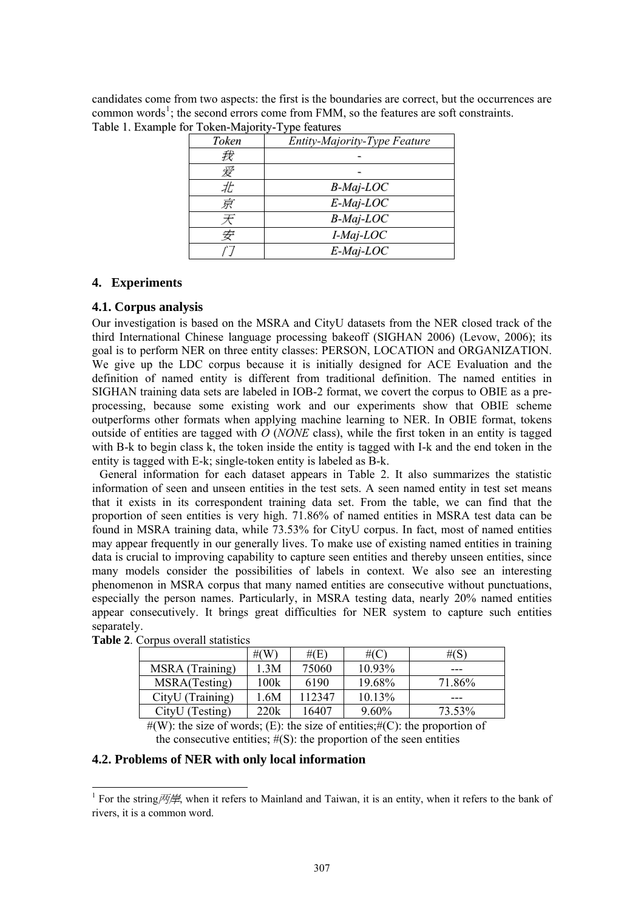candidates come from two aspects: the first is the boundaries are correct, but the occurrences are common words<sup>[1](#page-4-0)</sup>; the second errors come from FMM, so the features are soft constraints. Table 1. Example for Token-Majority-Type features

| Token | Entity-Majority-Type Feature |
|-------|------------------------------|
| 我     |                              |
| 爱     |                              |
| Æ     | $B$ -Maj-LOC                 |
| 京     | $E$ -Maj-LOC                 |
| 天     | <b>B-Maj-LOC</b>             |
| 安     | I-Maj-LOC                    |
|       | $E$ -Maj-LOC                 |

## **4. Experiments**

## **4.1. Corpus analysis**

Our investigation is based on the MSRA and CityU datasets from the NER closed track of the third International Chinese language processing bakeoff (SIGHAN 2006) (Levow, 2006); its goal is to perform NER on three entity classes: PERSON, LOCATION and ORGANIZATION. We give up the LDC corpus because it is initially designed for ACE Evaluation and the definition of named entity is different from traditional definition. The named entities in SIGHAN training data sets are labeled in IOB-2 format, we covert the corpus to OBIE as a preprocessing, because some existing work and our experiments show that OBIE scheme outperforms other formats when applying machine learning to NER. In OBIE format, tokens outside of entities are tagged with  $\hat{O}$  (*NONE* class), while the first token in an entity is tagged with B-k to begin class k, the token inside the entity is tagged with I-k and the end token in the entity is tagged with E-k; single-token entity is labeled as B-k.

General information for each dataset appears in Table 2. It also summarizes the statistic information of seen and unseen entities in the test sets. A seen named entity in test set means that it exists in its correspondent training data set. From the table, we can find that the proportion of seen entities is very high. 71.86% of named entities in MSRA test data can be found in MSRA training data, while 73.53% for CityU corpus. In fact, most of named entities may appear frequently in our generally lives. To make use of existing named entities in training data is crucial to improving capability to capture seen entities and thereby unseen entities, since many models consider the possibilities of labels in context. We also see an interesting phenomenon in MSRA corpus that many named entities are consecutive without punctuations, especially the person names. Particularly, in MSRA testing data, nearly 20% named entities appear consecutively. It brings great difficulties for NER system to capture such entities separately.

|                  | # $(W)$ | # $(E)$ | #(C       | # $(S)$ |
|------------------|---------|---------|-----------|---------|
| MSRA (Training)  | 3M      | 75060   | $10.93\%$ | ---     |
| MSRA(Testing)    | 100k    | 6190    | 19.68%    | 71.86%  |
| CityU (Training) | .6M     | 112347  | $10.13\%$ | ---     |
| CityU (Testing)  | 220k    | 16407   | $9.60\%$  | 73.53%  |

**Table 2**. Corpus overall statistics

-

 $#(W)$ : the size of words; (E): the size of entities;  $#(C)$ : the proportion of the consecutive entities;  $#(S)$ : the proportion of the seen entities

#### **4.2. Problems of NER with only local information**

<span id="page-4-0"></span><sup>&</sup>lt;sup>1</sup> For the string  $\frac{1}{\sqrt{2}}$ , when it refers to Mainland and Taiwan, it is an entity, when it refers to the bank of rivers, it is a common word.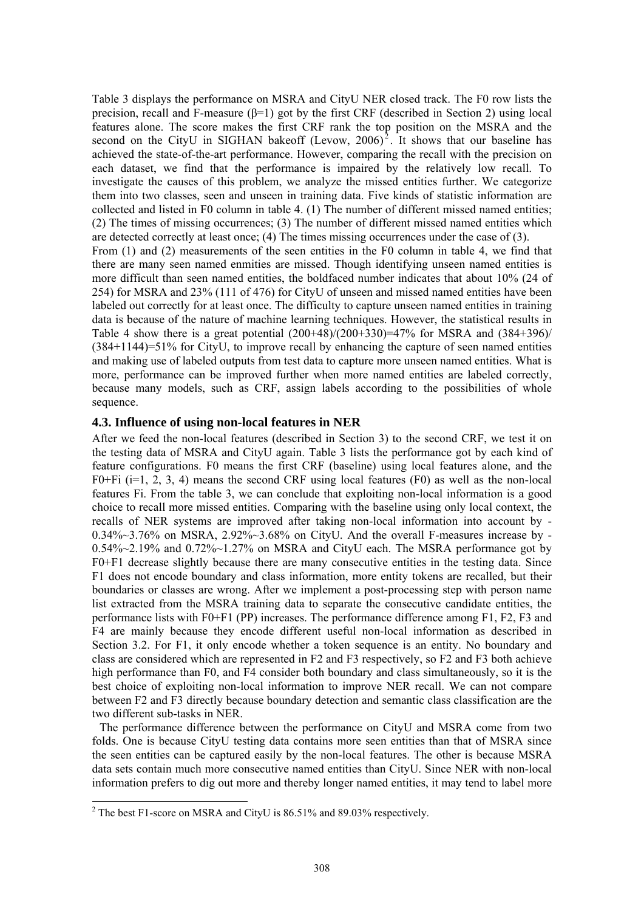Table 3 displays the performance on MSRA and CityU NER closed track. The F0 row lists the precision, recall and F-measure ( $\beta$ =1) got by the first CRF (described in Section 2) using local features alone. The score makes the first CRF rank the top position on the MSRA and the second on the CityU in SIGHAN bakeoff (Levow,  $2006$  $2006$ )<sup>2</sup>. It shows that our baseline has achieved the state-of-the-art performance. However, comparing the recall with the precision on each dataset, we find that the performance is impaired by the relatively low recall. To investigate the causes of this problem, we analyze the missed entities further. We categorize them into two classes, seen and unseen in training data. Five kinds of statistic information are collected and listed in F0 column in table 4. (1) The number of different missed named entities; (2) The times of missing occurrences; (3) The number of different missed named entities which are detected correctly at least once; (4) The times missing occurrences under the case of (3).

From (1) and (2) measurements of the seen entities in the F0 column in table 4, we find that there are many seen named enmities are missed. Though identifying unseen named entities is more difficult than seen named entities, the boldfaced number indicates that about 10% (24 of 254) for MSRA and 23% (111 of 476) for CityU of unseen and missed named entities have been labeled out correctly for at least once. The difficulty to capture unseen named entities in training data is because of the nature of machine learning techniques. However, the statistical results in Table 4 show there is a great potential  $(200+48)/(200+330)=47\%$  for MSRA and  $(384+396)/$ (384+1144)=51% for CityU, to improve recall by enhancing the capture of seen named entities and making use of labeled outputs from test data to capture more unseen named entities. What is more, performance can be improved further when more named entities are labeled correctly, because many models, such as CRF, assign labels according to the possibilities of whole sequence.

## **4.3. Influence of using non-local features in NER**

After we feed the non-local features (described in Section 3) to the second CRF, we test it on the testing data of MSRA and CityU again. Table 3 lists the performance got by each kind of feature configurations. F0 means the first CRF (baseline) using local features alone, and the F0+Fi ( $i=1, 2, 3, 4$ ) means the second CRF using local features (F0) as well as the non-local features Fi. From the table 3, we can conclude that exploiting non-local information is a good choice to recall more missed entities. Comparing with the baseline using only local context, the recalls of NER systems are improved after taking non-local information into account by - 0.34%~3.76% on MSRA, 2.92%~3.68% on CityU. And the overall F-measures increase by - 0.54%~2.19% and 0.72%~1.27% on MSRA and CityU each. The MSRA performance got by F0+F1 decrease slightly because there are many consecutive entities in the testing data. Since F1 does not encode boundary and class information, more entity tokens are recalled, but their boundaries or classes are wrong. After we implement a post-processing step with person name list extracted from the MSRA training data to separate the consecutive candidate entities, the performance lists with F0+F1 (PP) increases. The performance difference among F1, F2, F3 and F4 are mainly because they encode different useful non-local information as described in Section 3.2. For F1, it only encode whether a token sequence is an entity. No boundary and class are considered which are represented in F2 and F3 respectively, so F2 and F3 both achieve high performance than F0, and F4 consider both boundary and class simultaneously, so it is the best choice of exploiting non-local information to improve NER recall. We can not compare between F2 and F3 directly because boundary detection and semantic class classification are the two different sub-tasks in NER.

The performance difference between the performance on CityU and MSRA come from two folds. One is because CityU testing data contains more seen entities than that of MSRA since the seen entities can be captured easily by the non-local features. The other is because MSRA data sets contain much more consecutive named entities than CityU. Since NER with non-local information prefers to dig out more and thereby longer named entities, it may tend to label more

-

<span id="page-5-0"></span><sup>&</sup>lt;sup>2</sup> The best F1-score on MSRA and CityU is 86.51% and 89.03% respectively.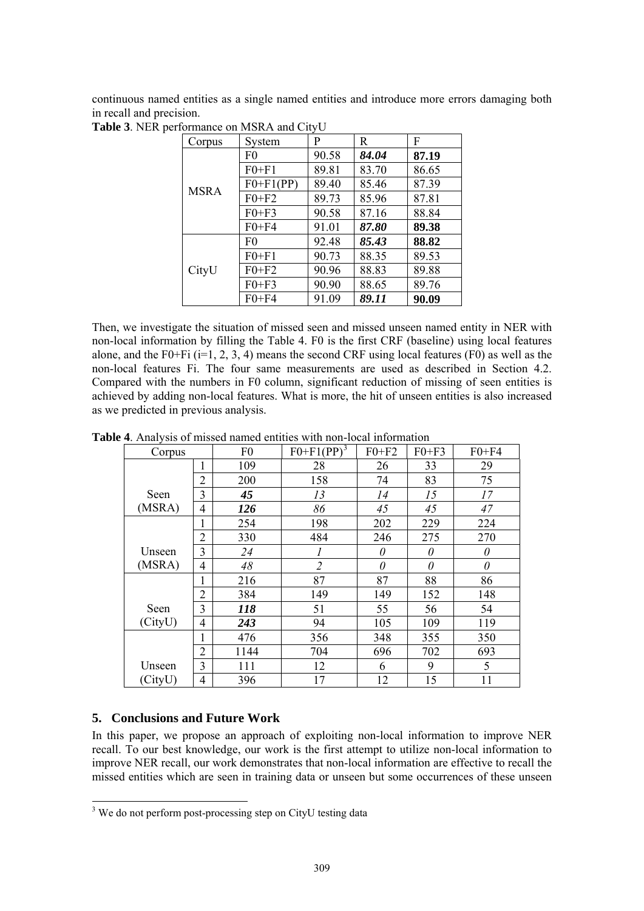continuous named entities as a single named entities and introduce more errors damaging both in recall and precision.

| Corpus      | System         | P     | R     | F     |
|-------------|----------------|-------|-------|-------|
| <b>MSRA</b> | F <sub>0</sub> | 90.58 | 84.04 | 87.19 |
|             | $F0 + F1$      | 89.81 | 83.70 | 86.65 |
|             | $F0+F1(PP)$    | 89.40 | 85.46 | 87.39 |
|             | $F0 + F2$      | 89.73 | 85.96 | 87.81 |
|             | $F0+F3$        | 90.58 | 87.16 | 88.84 |
|             | $F0 + F4$      | 91.01 | 87.80 | 89.38 |
| CityU       | F <sub>0</sub> | 92.48 | 85.43 | 88.82 |
|             | $F0 + F1$      | 90.73 | 88.35 | 89.53 |
|             | $F0 + F2$      | 90.96 | 88.83 | 89.88 |
|             | $F0 + F3$      | 90.90 | 88.65 | 89.76 |
|             | $F0 + F4$      | 91.09 | 89.11 | 90.09 |

**Table 3**. NER performance on MSRA and CityU

Then, we investigate the situation of missed seen and missed unseen named entity in NER with non-local information by filling the Table 4. F0 is the first CRF (baseline) using local features alone, and the F0+Fi ( $i=1, 2, 3, 4$ ) means the second CRF using local features (F0) as well as the non-local features Fi. The four same measurements are used as described in Section 4.2. Compared with the numbers in F0 column, significant reduction of missing of seen entities is achieved by adding non-local features. What is more, the hit of unseen entities is also increased as we predicted in previous analysis.

**Table 4**. Analysis of missed named entities with non-local information

| Corpus  |                | F <sub>0</sub> | $F0+F1(PP)^3$  | $F0+F2$  | $F0+F3$  | $F0 + F4$ |
|---------|----------------|----------------|----------------|----------|----------|-----------|
|         | 1              | 109            | 28             | 26       | 33       | 29        |
|         | $\overline{2}$ | 200            | 158            | 74       | 83       | 75        |
| Seen    | 3              | 45             | 13             | 14       | 15       | 17        |
| (MSRA)  | 4              | 126            | 86             | 45       | 45       | 47        |
|         | 1              | 254            | 198            | 202      | 229      | 224       |
|         | $\overline{2}$ | 330            | 484            | 246      | 275      | 270       |
| Unseen  | 3              | 24             |                | $\theta$ | $\theta$ | $\theta$  |
| (MSRA)  | 4              | 48             | $\overline{2}$ | $\theta$ | 0        | $\theta$  |
|         | 1              | 216            | 87             | 87       | 88       | 86        |
|         | $\overline{2}$ | 384            | 149            | 149      | 152      | 148       |
| Seen    | 3              | 118            | 51             | 55       | 56       | 54        |
| (CityU) | 4              | 243            | 94             | 105      | 109      | 119       |
|         | 1              | 476            | 356            | 348      | 355      | 350       |
|         | $\overline{2}$ | 1144           | 704            | 696      | 702      | 693       |
| Unseen  | 3              | 111            | 12             | 6        | 9        | 5         |
| (CityU) | 4              | 396            | 17             | 12       | 15       | 11        |

# **5. Conclusions and Future Work**

-

In this paper, we propose an approach of exploiting non-local information to improve NER recall. To our best knowledge, our work is the first attempt to utilize non-local information to improve NER recall, our work demonstrates that non-local information are effective to recall the missed entities which are seen in training data or unseen but some occurrences of these unseen

<span id="page-6-0"></span><sup>&</sup>lt;sup>3</sup> We do not perform post-processing step on CityU testing data